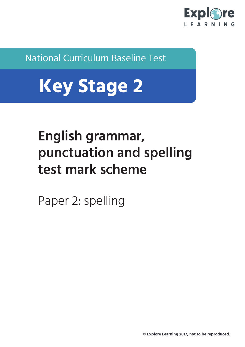

National Curriculum Baseline Test



# **English grammar, punctuation and spelling test mark scheme**

Paper 2: spelling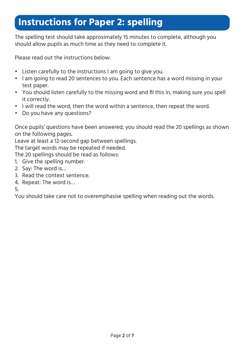#### **Instructions for Paper 2: spelling**

The spelling test should take approximately 15 minutes to complete, although you should allow pupils as much time as they need to complete it.

Please read out the instructions below:

- Listen carefully to the instructions I am going to give you.
- I am going to read 20 sentences to you. Each sentence has a word missing in your test paper.
- You should listen carefully to the missing word and fll this in, making sure you spell it correctly.
- I will read the word, then the word within a sentence, then repeat the word.
- Do you have any questions?

Once pupils' questions have been answered, you should read the 20 spellings as shown on the following pages.

Leave at least a 12-second gap between spellings.

The target words may be repeated if needed.

The 20 spellings should be read as follows:

- 1. Give the spelling number.
- 2. Say: The word is…
- 3. Read the context sentence.
- 4. Repeat: The word is…

5.

You should take care not to overemphasise spelling when reading out the words.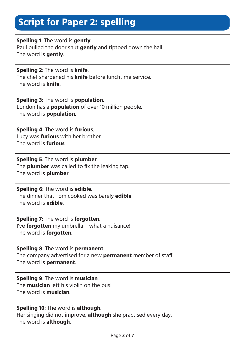### **Script for Paper 2: spelling**

**Spelling 1**: The word is **gently**. Paul pulled the door shut **gently** and tiptoed down the hall. The word is **gently**.

**Spelling 2**: The word is **knife**. The chef sharpened his **knife** before lunchtime service. The word is **knife**.

**Spelling 3**: The word is **population**. London has a **population** of over 10 million people. The word is **population**.

**Spelling 4**: The word is **furious**. Lucy was **furious** with her brother. The word is **furious**.

**Spelling 5**: The word is **plumber**. The **plumber** was called to fix the leaking tap. The word is **plumber**.

**Spelling 6**: The word is **edible**. The dinner that Tom cooked was barely **edible**. The word is **edible**.

**Spelling 7**: The word is **forgotten**. I've **forgotten** my umbrella – what a nuisance! The word is **forgotten**.

**Spelling 8**: The word is **permanent**. The company advertised for a new **permanent** member of staff. The word is **permanent**.

**Spelling 9**: The word is **musician**. The **musician** left his violin on the bus! The word is **musician**.

**Spelling 10**: The word is **although**. Her singing did not improve, **although** she practised every day. The word is **although**.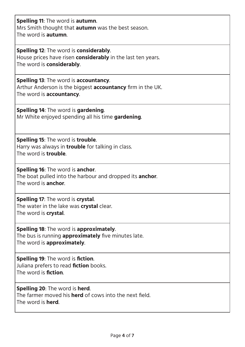**Spelling 11**: The word is **autumn**. Mrs Smith thought that **autumn** was the best season. The word is **autumn**.

**Spelling 12**: The word is **considerably**. House prices have risen **considerably** in the last ten years. The word is **considerably**.

**Spelling 13**: The word is **accountancy**. Arthur Anderson is the biggest **accountancy** firm in the UK. The word is **accountancy**.

**Spelling 14**: The word is **gardening**. Mr White enjoyed spending all his time **gardening**.

**Spelling 15**: The word is **trouble**. Harry was always in **trouble** for talking in class. The word is **trouble**.

**Spelling 16**: The word is **anchor**. The boat pulled into the harbour and dropped its **anchor**. The word is **anchor**.

**Spelling 17**: The word is **crystal**. The water in the lake was **crystal** clear. The word is **crystal**.

**Spelling 18**: The word is **approximately**. The bus is running **approximately** five minutes late. The word is **approximately**.

**Spelling 19**: The word is **fiction**. Juliana prefers to read **fiction** books. The word is **fiction**.

**Spelling 20**: The word is **herd**. The farmer moved his **herd** of cows into the next field. The word is **herd**.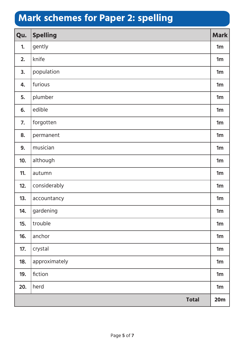## **Mark schemes for Paper 2: spelling**

| Qu. | <b>Spelling</b> | <b>Mark</b>    |
|-----|-----------------|----------------|
| 1.  | gently          | 1 <sub>m</sub> |
| 2.  | knife           | 1m             |
| 3.  | population      | 1 <sub>m</sub> |
| 4.  | furious         | 1m             |
| 5.  | plumber         | 1m             |
| 6.  | edible          | 1m             |
| 7.  | forgotten       | 1m             |
| 8.  | permanent       | 1 <sub>m</sub> |
| 9.  | musician        | 1m             |
| 10. | although        | 1m             |
| 11. | autumn          | 1m             |
| 12. | considerably    | 1m             |
| 13. | accountancy     | 1m             |
| 14. | gardening       | 1m             |
| 15. | trouble         | 1m             |
| 16. | anchor          | 1m             |
| 17. | crystal         | 1m             |
| 18. | approximately   | 1m             |
| 19. | fiction         | 1m             |
| 20. | herd            | 1m             |
|     | <b>Total</b>    | <b>20m</b>     |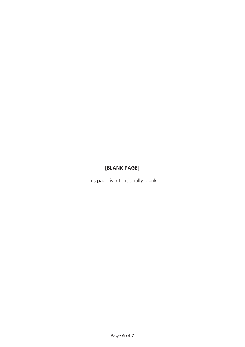#### **[BLANK PAGE]**

This page is intentionally blank.